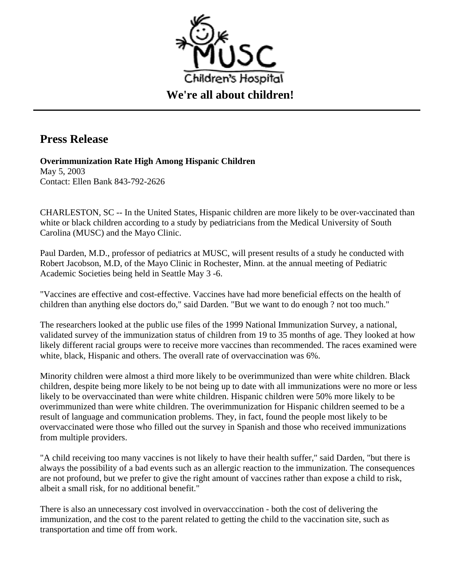

## **Press Release**

**Overimmunization Rate High Among Hispanic Children** May 5, 2003 Contact: Ellen Bank 843-792-2626

CHARLESTON, SC -- In the United States, Hispanic children are more likely to be over-vaccinated than white or black children according to a study by pediatricians from the Medical University of South Carolina (MUSC) and the Mayo Clinic.

Paul Darden, M.D., professor of pediatrics at MUSC, will present results of a study he conducted with Robert Jacobson, M.D, of the Mayo Clinic in Rochester, Minn. at the annual meeting of Pediatric Academic Societies being held in Seattle May 3 -6.

"Vaccines are effective and cost-effective. Vaccines have had more beneficial effects on the health of children than anything else doctors do," said Darden. "But we want to do enough ? not too much."

The researchers looked at the public use files of the 1999 National Immunization Survey, a national, validated survey of the immunization status of children from 19 to 35 months of age. They looked at how likely different racial groups were to receive more vaccines than recommended. The races examined were white, black, Hispanic and others. The overall rate of overvaccination was 6%.

Minority children were almost a third more likely to be overimmunized than were white children. Black children, despite being more likely to be not being up to date with all immunizations were no more or less likely to be overvaccinated than were white children. Hispanic children were 50% more likely to be overimmunized than were white children. The overimmunization for Hispanic children seemed to be a result of language and communication problems. They, in fact, found the people most likely to be overvaccinated were those who filled out the survey in Spanish and those who received immunizations from multiple providers.

"A child receiving too many vaccines is not likely to have their health suffer," said Darden, "but there is always the possibility of a bad events such as an allergic reaction to the immunization. The consequences are not profound, but we prefer to give the right amount of vaccines rather than expose a child to risk, albeit a small risk, for no additional benefit."

There is also an unnecessary cost involved in overvacccination - both the cost of delivering the immunization, and the cost to the parent related to getting the child to the vaccination site, such as transportation and time off from work.